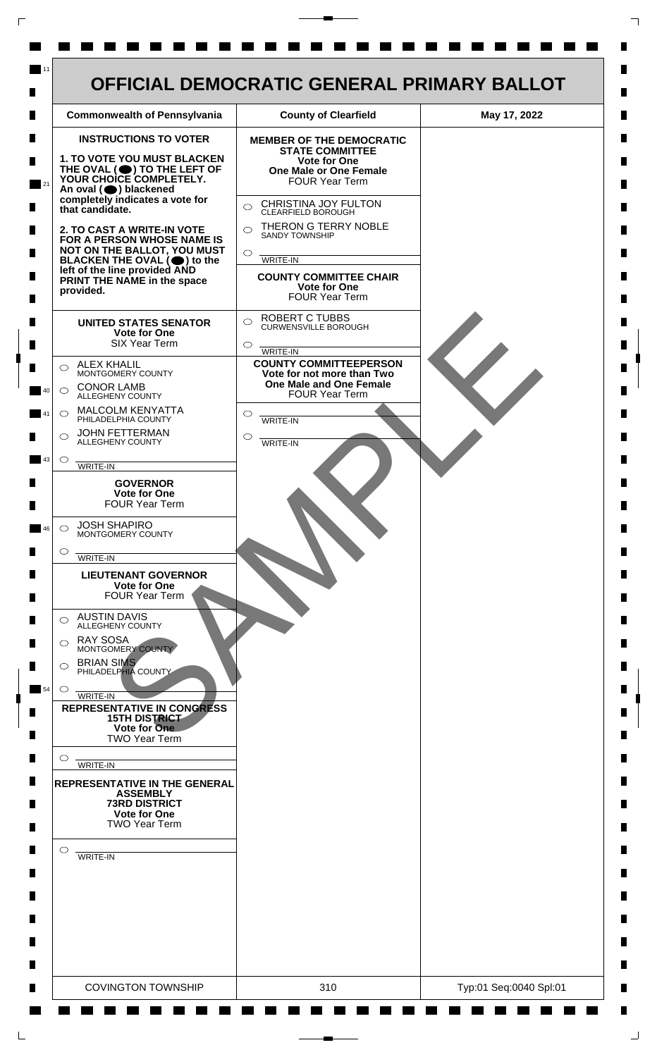

 $\mathsf{L}$ 

 $\Box$